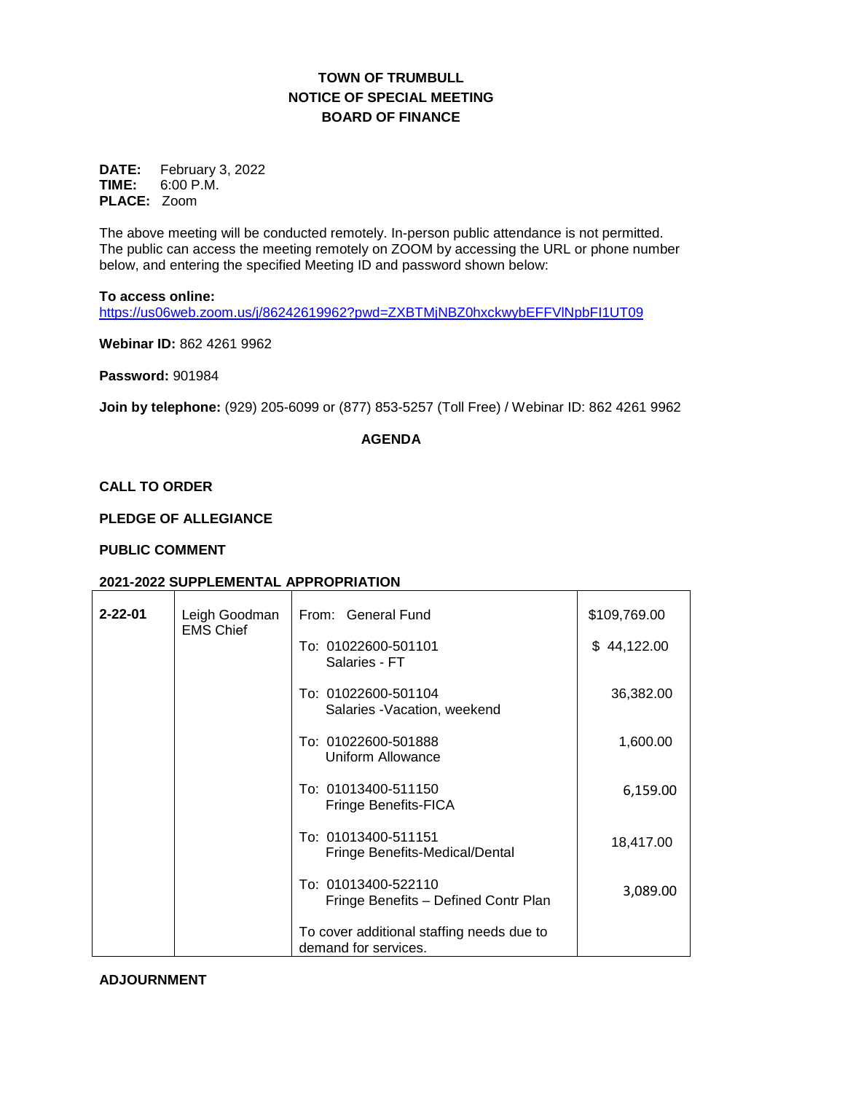# **TOWN OF TRUMBULL NOTICE OF SPECIAL MEETING BOARD OF FINANCE**

**DATE:** February 3, 2022 **TIME:** 6:00 P.M. **PLACE:** Zoom

The above meeting will be conducted remotely. In-person public attendance is not permitted. The public can access the meeting remotely on ZOOM by accessing the URL or phone number below, and entering the specified Meeting ID and password shown below:

#### **To access online:**

<https://us06web.zoom.us/j/86242619962?pwd=ZXBTMjNBZ0hxckwybEFFVlNpbFI1UT09>

**Webinar ID:** 862 4261 9962

**Password:** 901984

**Join by telephone:** (929) 205-6099 or (877) 853-5257 (Toll Free) / Webinar ID: 862 4261 9962

## **AGENDA**

## **CALL TO ORDER**

## **PLEDGE OF ALLEGIANCE**

## **PUBLIC COMMENT**

## **2021-2022 SUPPLEMENTAL APPROPRIATION**

| $2 - 22 - 01$ | Leigh Goodman<br><b>EMS Chief</b>        | From: General Fund                                                | \$109,769.00 |
|---------------|------------------------------------------|-------------------------------------------------------------------|--------------|
|               |                                          | To: 01022600-501101<br>Salaries - FT                              | \$44,122.00  |
|               |                                          | To: 01022600-501104<br>Salaries - Vacation, weekend               | 36,382.00    |
|               | To: 01022600-501888<br>Uniform Allowance | 1,600.00                                                          |              |
|               |                                          | To: 01013400-511150<br>Fringe Benefits-FICA                       | 6,159.00     |
|               |                                          | To: 01013400-511151<br>Fringe Benefits-Medical/Dental             | 18,417.00    |
|               |                                          | To: 01013400-522110<br>Fringe Benefits - Defined Contr Plan       | 3,089.00     |
|               |                                          | To cover additional staffing needs due to<br>demand for services. |              |

### **ADJOURNMENT**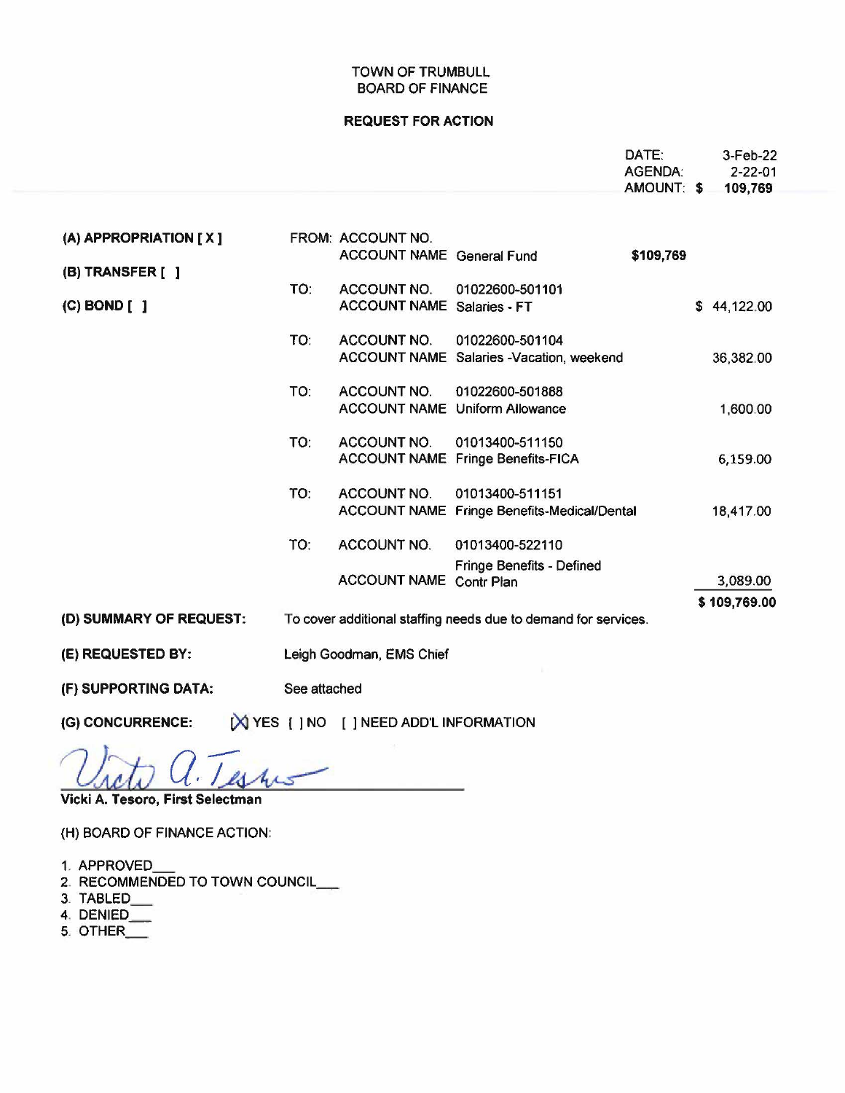## TOWN OF TRUMBULL BOARD OF FINANCE

### **REQUEST FOR ACTION**

|                                      |              |                                                       |                                                                | DATE:<br>AGENDA: | 3-Feb-22<br>$2 - 22 - 01$ |
|--------------------------------------|--------------|-------------------------------------------------------|----------------------------------------------------------------|------------------|---------------------------|
|                                      |              |                                                       |                                                                | AMOUNT: \$       | 109,769                   |
| (A) APPROPRIATION [X]                |              | FROM: ACCOUNT NO.<br><b>ACCOUNT NAME General Fund</b> |                                                                | \$109,769        |                           |
| (B) TRANSFER [ ]<br>$(C)$ BOND $[$ ] | TO:          | ACCOUNT NO.<br><b>ACCOUNT NAME Salaries - FT</b>      | 01022600-501101                                                |                  | \$44,122.00               |
|                                      | TO:          | <b>ACCOUNT NO.</b>                                    | 01022600-501104<br>ACCOUNT NAME Salaries -Vacation, weekend    |                  | 36,382.00                 |
|                                      | TO:          | <b>ACCOUNT NO.</b>                                    | 01022600-501888<br><b>ACCOUNT NAME Uniform Allowance</b>       |                  | 1,600.00                  |
|                                      | TO:          | ACCOUNT NO.                                           | 01013400-511150<br>ACCOUNT NAME Fringe Benefits-FICA           |                  | 6,159.00                  |
|                                      | TO:          | <b>ACCOUNT NO.</b>                                    | 01013400-511151<br>ACCOUNT NAME Fringe Benefits-Medical/Dental |                  | 18,417.00                 |
|                                      | TO:          | ACCOUNT NO.                                           | 01013400-522110<br><b>Fringe Benefits - Defined</b>            |                  |                           |
|                                      |              | <b>ACCOUNT NAME Contr Plan</b>                        |                                                                |                  | 3,089.00                  |
| (D) SUMMARY OF REQUEST:              |              |                                                       | To cover additional staffing needs due to demand for services. |                  | \$109,769.00              |
| (E) REQUESTED BY:                    |              | Leigh Goodman, EMS Chief                              |                                                                |                  |                           |
| (F) SUPPORTING DATA:                 | See attached |                                                       |                                                                |                  |                           |
| (G) CONCURRENCE:                     |              | [X] YES [ ] NO [ ] NEED ADD'L INFORMATION             |                                                                |                  |                           |

a. Testus Vicki A. Tesoro, First Selectman

(H) BOARD OF FINANCE ACTION:

- 1. APPROVED\_
- 2. RECOMMENDED TO TOWN COUNCIL\_
- 3. TABLED\_
- 4. DENIED\_
- 5. OTHER\_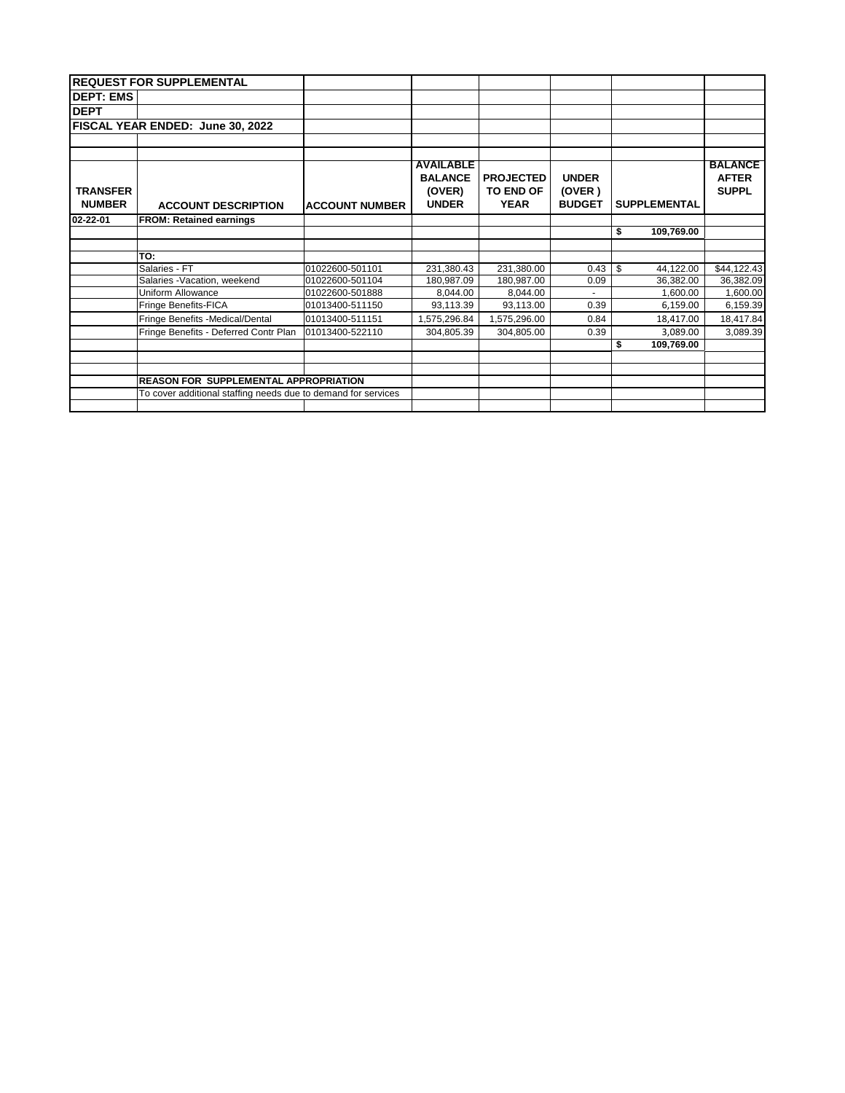|                                  | <b>REQUEST FOR SUPPLEMENTAL</b>                               |                       |                                                              |                                                     |                                         |                     |                                                |
|----------------------------------|---------------------------------------------------------------|-----------------------|--------------------------------------------------------------|-----------------------------------------------------|-----------------------------------------|---------------------|------------------------------------------------|
| <b>DEPT: EMS</b>                 |                                                               |                       |                                                              |                                                     |                                         |                     |                                                |
| <b>DEPT</b>                      |                                                               |                       |                                                              |                                                     |                                         |                     |                                                |
|                                  | FISCAL YEAR ENDED: June 30, 2022                              |                       |                                                              |                                                     |                                         |                     |                                                |
|                                  |                                                               |                       |                                                              |                                                     |                                         |                     |                                                |
| <b>TRANSFER</b><br><b>NUMBER</b> | <b>ACCOUNT DESCRIPTION</b>                                    | <b>ACCOUNT NUMBER</b> | <b>AVAILABLE</b><br><b>BALANCE</b><br>(OVER)<br><b>UNDER</b> | <b>PROJECTED</b><br><b>TO END OF</b><br><b>YEAR</b> | <b>UNDER</b><br>(OVER)<br><b>BUDGET</b> | <b>SUPPLEMENTAL</b> | <b>BALANCE</b><br><b>AFTER</b><br><b>SUPPL</b> |
| 02-22-01                         | <b>FROM: Retained earnings</b>                                |                       |                                                              |                                                     |                                         |                     |                                                |
|                                  |                                                               |                       |                                                              |                                                     |                                         | \$<br>109,769.00    |                                                |
|                                  |                                                               |                       |                                                              |                                                     |                                         |                     |                                                |
|                                  | TO:                                                           |                       |                                                              |                                                     |                                         |                     |                                                |
|                                  | Salaries - FT                                                 | 01022600-501101       | 231,380.43                                                   | 231,380.00                                          | 0.43                                    | \$<br>44,122.00     | \$44,122.43                                    |
|                                  | Salaries -Vacation, weekend                                   | 01022600-501104       | 180,987.09                                                   | 180,987.00                                          | 0.09                                    | 36,382.00           | 36,382.09                                      |
|                                  | Uniform Allowance                                             | 01022600-501888       | 8,044.00                                                     | 8,044.00                                            |                                         | 1,600.00            | 1,600.00                                       |
|                                  | Fringe Benefits-FICA                                          | 01013400-511150       | 93,113.39                                                    | 93,113.00                                           | 0.39                                    | 6,159.00            | 6,159.39                                       |
|                                  | Fringe Benefits -Medical/Dental                               | 01013400-511151       | 1,575,296.84                                                 | 1,575,296.00                                        | 0.84                                    | 18,417.00           | 18,417.84                                      |
|                                  | Fringe Benefits - Deferred Contr Plan                         | 01013400-522110       | 304,805.39                                                   | 304,805.00                                          | 0.39                                    | 3,089.00            | 3,089.39                                       |
|                                  |                                                               |                       |                                                              |                                                     |                                         | \$<br>109,769.00    |                                                |
|                                  |                                                               |                       |                                                              |                                                     |                                         |                     |                                                |
|                                  |                                                               |                       |                                                              |                                                     |                                         |                     |                                                |
|                                  | <b>REASON FOR SUPPLEMENTAL APPROPRIATION</b>                  |                       |                                                              |                                                     |                                         |                     |                                                |
|                                  | To cover additional staffing needs due to demand for services |                       |                                                              |                                                     |                                         |                     |                                                |
|                                  |                                                               |                       |                                                              |                                                     |                                         |                     |                                                |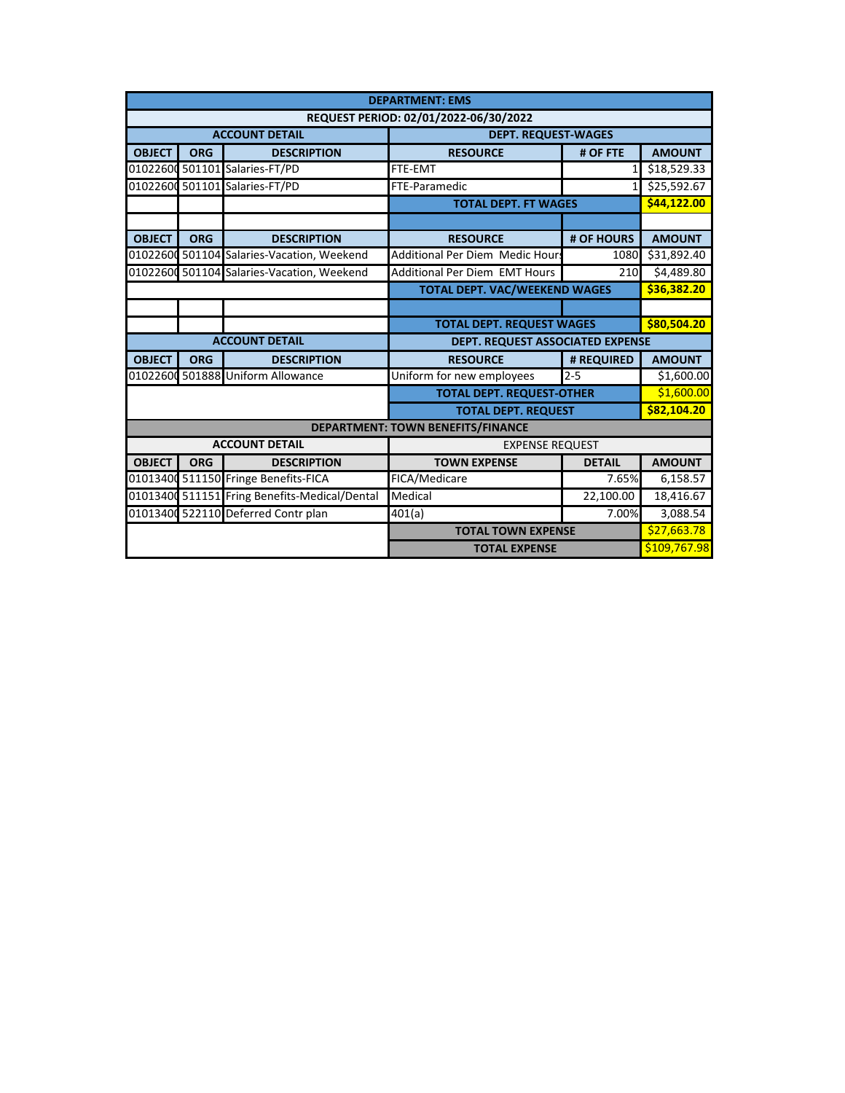|               | <b>DEPARTMENT: EMS</b>                |                                               |                                          |                |               |  |  |  |  |  |  |
|---------------|---------------------------------------|-----------------------------------------------|------------------------------------------|----------------|---------------|--|--|--|--|--|--|
|               | REQUEST PERIOD: 02/01/2022-06/30/2022 |                                               |                                          |                |               |  |  |  |  |  |  |
|               |                                       | <b>ACCOUNT DETAIL</b>                         | <b>DEPT. REQUEST-WAGES</b>               |                |               |  |  |  |  |  |  |
| <b>OBJECT</b> | <b>ORG</b>                            | <b>DESCRIPTION</b>                            | <b>RESOURCE</b>                          | # OF FTE       | <b>AMOUNT</b> |  |  |  |  |  |  |
|               |                                       | 01022600 501101 Salaries-FT/PD                | FTE-EMT                                  | 1 <sup>1</sup> |               |  |  |  |  |  |  |
|               |                                       | 01022600 501101 Salaries-FT/PD                | FTE-Paramedic                            | 1              |               |  |  |  |  |  |  |
|               |                                       |                                               | <b>TOTAL DEPT. FT WAGES</b>              |                | \$44.122.00   |  |  |  |  |  |  |
|               |                                       |                                               |                                          |                |               |  |  |  |  |  |  |
| <b>OBJECT</b> | <b>ORG</b>                            | <b>DESCRIPTION</b>                            | <b>RESOURCE</b>                          | # OF HOURS     |               |  |  |  |  |  |  |
|               |                                       | 01022600 501104 Salaries-Vacation, Weekend    | Additional Per Diem Medic Hours          | 1080           | \$31,892.40   |  |  |  |  |  |  |
|               |                                       | 01022600 501104 Salaries-Vacation, Weekend    | <b>Additional Per Diem EMT Hours</b>     | 210            |               |  |  |  |  |  |  |
|               | <b>TOTAL DEPT. VAC/WEEKEND WAGES</b>  |                                               |                                          |                | \$36,382.20   |  |  |  |  |  |  |
|               |                                       |                                               |                                          |                |               |  |  |  |  |  |  |
|               |                                       |                                               | <b>TOTAL DEPT. REQUEST WAGES</b>         | \$80,504.20    |               |  |  |  |  |  |  |
|               |                                       | <b>ACCOUNT DETAIL</b>                         | DEPT. REQUEST ASSOCIATED EXPENSE         |                |               |  |  |  |  |  |  |
| <b>OBJECT</b> | <b>ORG</b>                            | <b>DESCRIPTION</b>                            | <b>RESOURCE</b>                          | # REQUIRED     | <b>AMOUNT</b> |  |  |  |  |  |  |
|               |                                       | 01022600 501888 Uniform Allowance             | Uniform for new employees                | $2 - 5$        | \$1,600.00    |  |  |  |  |  |  |
|               |                                       |                                               | <b>TOTAL DEPT. REQUEST-OTHER</b>         |                | \$1,600.00    |  |  |  |  |  |  |
|               |                                       |                                               | <b>TOTAL DEPT. REQUEST</b>               | \$82.104.20    |               |  |  |  |  |  |  |
|               |                                       |                                               | <b>DEPARTMENT: TOWN BENEFITS/FINANCE</b> |                |               |  |  |  |  |  |  |
|               |                                       | <b>ACCOUNT DETAIL</b>                         | <b>EXPENSE REQUEST</b>                   |                |               |  |  |  |  |  |  |
| <b>OBJECT</b> | <b>ORG</b>                            | <b>DESCRIPTION</b>                            | <b>TOWN EXPENSE</b>                      | <b>DETAIL</b>  | <b>AMOUNT</b> |  |  |  |  |  |  |
|               |                                       | 01013400 511150 Fringe Benefits-FICA          | FICA/Medicare                            | 7.65%          | 6,158.57      |  |  |  |  |  |  |
|               |                                       | 01013400 511151 Fring Benefits-Medical/Dental | Medical                                  | 22,100.00      | 18,416.67     |  |  |  |  |  |  |
|               |                                       | 01013400 522110 Deferred Contr plan           | 401(a)                                   | 7.00%          | 3,088.54      |  |  |  |  |  |  |
|               |                                       |                                               | <b>TOTAL TOWN EXPENSE</b>                |                | \$27,663.78   |  |  |  |  |  |  |
|               | \$109,767.98<br><b>TOTAL EXPENSE</b>  |                                               |                                          |                |               |  |  |  |  |  |  |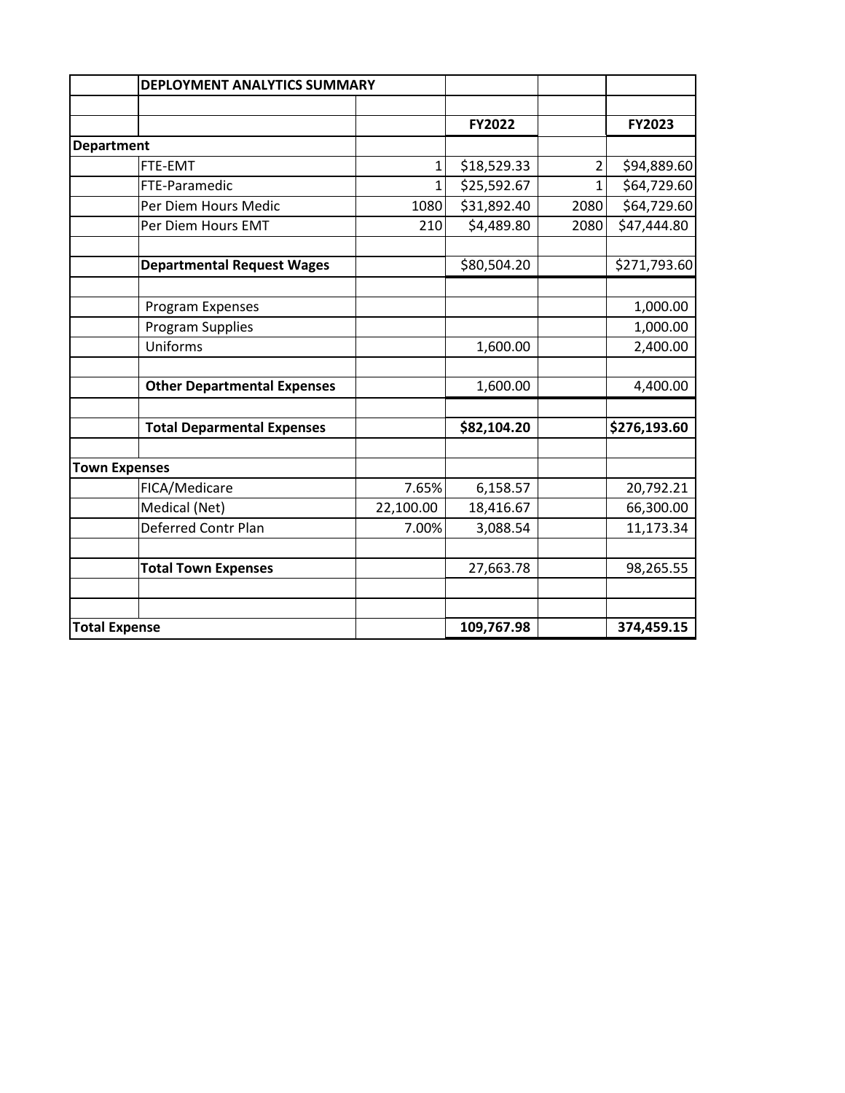|                   |                                    | <b>DEPLOYMENT ANALYTICS SUMMARY</b> |             |              |              |
|-------------------|------------------------------------|-------------------------------------|-------------|--------------|--------------|
|                   |                                    |                                     |             |              |              |
|                   |                                    |                                     | FY2022      |              | FY2023       |
| <b>Department</b> |                                    |                                     |             |              |              |
|                   | FTE-EMT                            | 1                                   | \$18,529.33 | 2            | \$94,889.60  |
|                   | FTE-Paramedic                      | $\mathbf 1$                         | \$25,592.67 | $\mathbf{1}$ | \$64,729.60  |
|                   | Per Diem Hours Medic               | 1080                                | \$31,892.40 | 2080         | \$64,729.60  |
|                   | Per Diem Hours EMT                 | 210                                 | \$4,489.80  | 2080         | \$47,444.80  |
|                   | <b>Departmental Request Wages</b>  |                                     | \$80,504.20 |              | \$271,793.60 |
|                   | Program Expenses                   |                                     |             |              | 1,000.00     |
|                   | Program Supplies                   |                                     |             |              | 1,000.00     |
|                   | Uniforms                           |                                     | 1,600.00    |              | 2,400.00     |
|                   |                                    |                                     |             |              |              |
|                   | <b>Other Departmental Expenses</b> |                                     | 1,600.00    |              | 4,400.00     |
|                   | <b>Total Deparmental Expenses</b>  |                                     | \$82,104.20 |              | \$276,193.60 |
|                   |                                    |                                     |             |              |              |
|                   | <b>Town Expenses</b>               |                                     |             |              |              |
|                   | FICA/Medicare                      | 7.65%                               | 6,158.57    |              | 20,792.21    |
|                   | Medical (Net)                      | 22,100.00                           | 18,416.67   |              | 66,300.00    |
|                   | Deferred Contr Plan                | 7.00%                               | 3,088.54    |              | 11,173.34    |
|                   | <b>Total Town Expenses</b>         |                                     | 27,663.78   |              | 98,265.55    |
|                   |                                    |                                     |             |              |              |
|                   |                                    |                                     |             |              |              |
|                   | <b>Total Expense</b>               |                                     | 109,767.98  |              | 374,459.15   |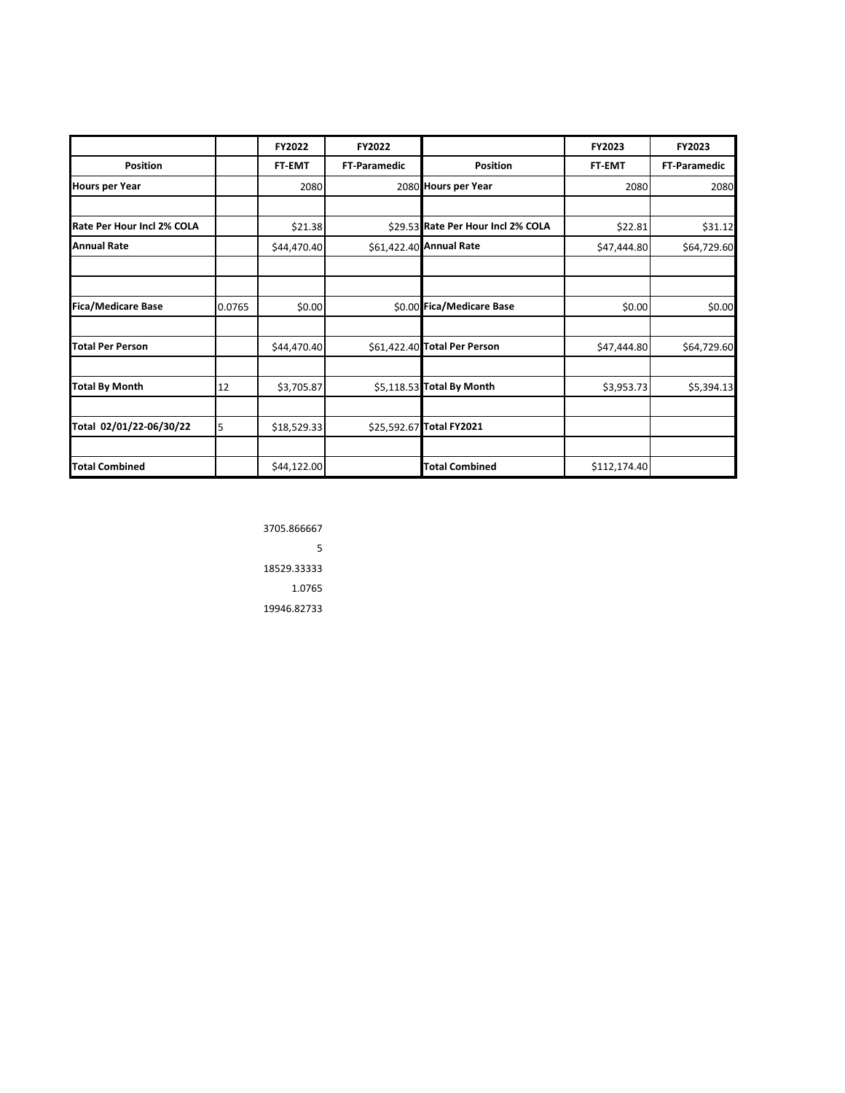|                            |        | FY2022      | FY2022              |                                    | FY2023       | FY2023              |
|----------------------------|--------|-------------|---------------------|------------------------------------|--------------|---------------------|
| <b>Position</b>            |        | FT-EMT      | <b>FT</b> Paramedic | <b>Position</b>                    | FT-EMT       | <b>FT-Paramedic</b> |
| <b>Hours per Year</b>      |        | 2080        |                     | 2080 Hours per Year                | 2080         | 2080                |
|                            |        |             |                     |                                    |              |                     |
| Rate Per Hour Incl 2% COLA |        | \$21.38     |                     | \$29.53 Rate Per Hour Incl 2% COLA | \$22.81      | \$31.12             |
| <b>Annual Rate</b>         |        | \$44,470.40 |                     | \$61,422.40 Annual Rate            | \$47,444.80  | \$64,729.60         |
|                            |        |             |                     |                                    |              |                     |
|                            |        |             |                     |                                    |              |                     |
| <b>Fica/Medicare Base</b>  | 0.0765 | \$0.00      |                     | \$0.00 Fica/Medicare Base          | \$0.00       | \$0.00              |
|                            |        |             |                     |                                    |              |                     |
| Total Per Person           |        | \$44,470.40 |                     | \$61,422.40 Total Per Person       | \$47,444.80  | \$64,729.60         |
|                            |        |             |                     |                                    |              |                     |
| <b>Total By Month</b>      | 12     | \$3,705.87  |                     | \$5,118.53 Total By Month          | \$3,953.73   | \$5,394.13          |
|                            |        |             |                     |                                    |              |                     |
| Total 02/01/22-06/30/22    | 5      | \$18,529.33 |                     | \$25,592.67 Total FY2021           |              |                     |
|                            |        |             |                     |                                    |              |                     |
| <b>Total Combined</b>      |        | \$44,122.00 |                     | <b>Total Combined</b>              | \$112,174.40 |                     |

3705.866667  $\overline{\phantom{a}}$ 18529.33333 1.0765 19946.82733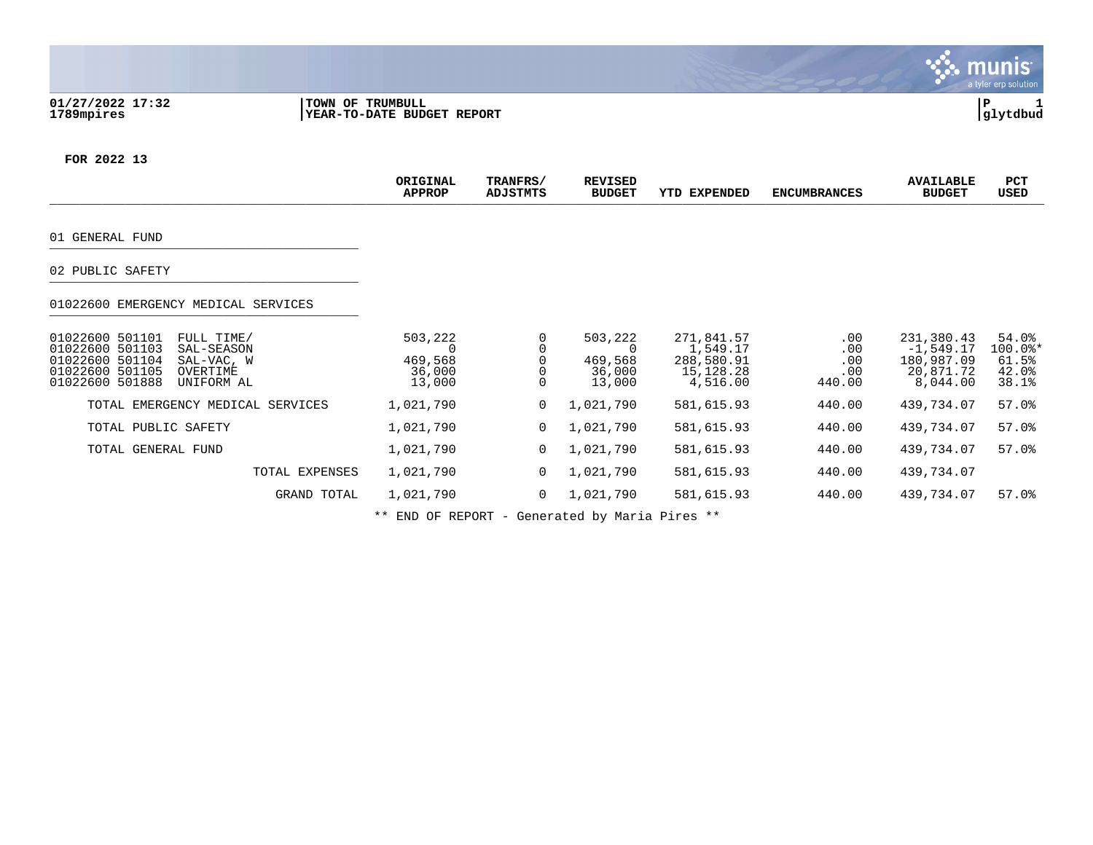#### **01/27/2022 17:32 |TOWN OF TRUMBULL |P 1 1789mpires |YEAR-TO-DATE BUDGET REPORT |glytdbud**



**FOR 2022 13**

|                                                                                                                                                                 | ORIGINAL<br><b>APPROP</b>                   | TRANFRS/<br><b>ADJSTMTS</b> | <b>REVISED</b><br><b>BUDGET</b>        | YTD EXPENDED                                                  | <b>ENCUMBRANCES</b>                     | <b>AVAILABLE</b><br><b>BUDGET</b>                                | PCT<br>USED                                 |
|-----------------------------------------------------------------------------------------------------------------------------------------------------------------|---------------------------------------------|-----------------------------|----------------------------------------|---------------------------------------------------------------|-----------------------------------------|------------------------------------------------------------------|---------------------------------------------|
| 01 GENERAL FUND                                                                                                                                                 |                                             |                             |                                        |                                                               |                                         |                                                                  |                                             |
| 02 PUBLIC SAFETY                                                                                                                                                |                                             |                             |                                        |                                                               |                                         |                                                                  |                                             |
| 01022600 EMERGENCY MEDICAL SERVICES                                                                                                                             |                                             |                             |                                        |                                                               |                                         |                                                                  |                                             |
| 01022600 501101<br>FULL TIME/<br>01022600 501103<br>SAL-SEASON<br>01022600 501104<br>SAL-VAC, W<br>01022600 501105<br>OVERTIME<br>01022600 501888<br>UNIFORM AL | 503,222<br>O<br>469,568<br>36,000<br>13,000 | $\Omega$                    | 503,222<br>469,568<br>36,000<br>13,000 | 271,841.57<br>1,549.17<br>288,580.91<br>15,128.28<br>4,516.00 | $.00 \,$<br>.00<br>.00<br>.00<br>440.00 | 231,380.43<br>$-1,549.17$<br>180,987.09<br>20,871.72<br>8,044.00 | 54.0%<br>100.0%*<br>61.5%<br>42.0%<br>38.1% |
| TOTAL EMERGENCY MEDICAL SERVICES                                                                                                                                | 1,021,790                                   | 0                           | 1,021,790                              | 581,615.93                                                    | 440.00                                  | 439,734.07                                                       | 57.0%                                       |
| TOTAL PUBLIC SAFETY                                                                                                                                             | 1,021,790                                   | $\mathbf 0$                 | 1,021,790                              | 581,615.93                                                    | 440.00                                  | 439,734.07                                                       | $57.0$ $%$                                  |
| TOTAL GENERAL FUND                                                                                                                                              | 1,021,790                                   | $\mathbf 0$                 | 1,021,790                              | 581,615.93                                                    | 440.00                                  | 439,734.07                                                       | 57.0%                                       |
| TOTAL EXPENSES                                                                                                                                                  | 1,021,790                                   | 0                           | 1,021,790                              | 581,615.93                                                    | 440.00                                  | 439,734.07                                                       |                                             |
| GRAND TOTAL                                                                                                                                                     | 1,021,790                                   | $\mathbf 0$                 | 1,021,790                              | 581,615.93                                                    | 440.00                                  | 439,734.07                                                       | $57.0$ $%$                                  |

\*\* END OF REPORT - Generated by Maria Pires \*\*